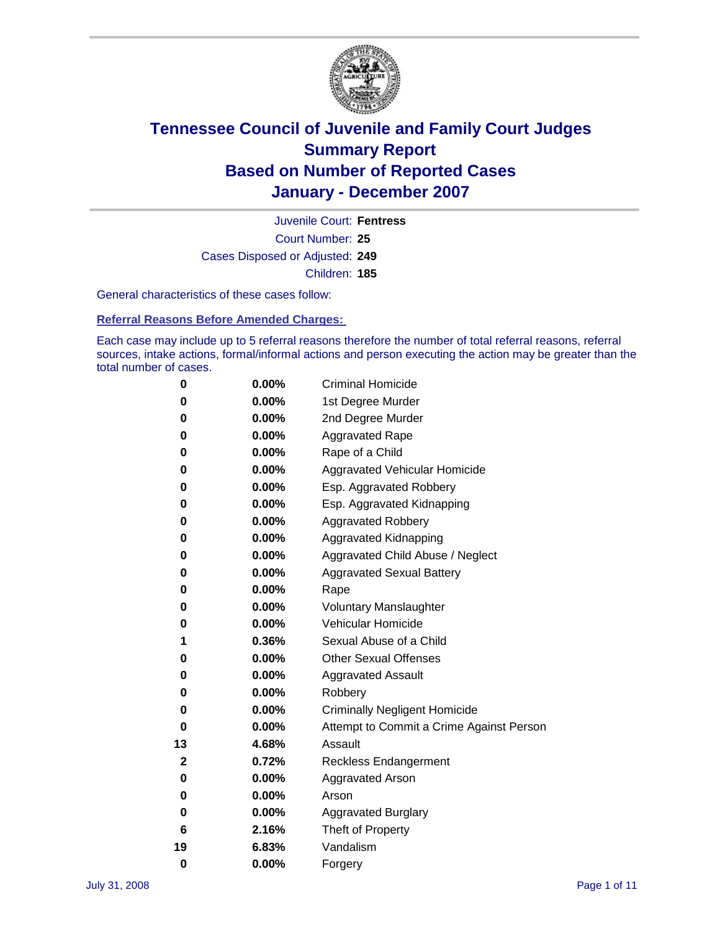

Court Number: **25** Juvenile Court: **Fentress** Cases Disposed or Adjusted: **249** Children: **185**

General characteristics of these cases follow:

**Referral Reasons Before Amended Charges:** 

Each case may include up to 5 referral reasons therefore the number of total referral reasons, referral sources, intake actions, formal/informal actions and person executing the action may be greater than the total number of cases.

| 0  | 0.00%    | <b>Criminal Homicide</b>                 |
|----|----------|------------------------------------------|
| 0  | 0.00%    | 1st Degree Murder                        |
| 0  | $0.00\%$ | 2nd Degree Murder                        |
| 0  | 0.00%    | <b>Aggravated Rape</b>                   |
| 0  | 0.00%    | Rape of a Child                          |
| 0  | 0.00%    | Aggravated Vehicular Homicide            |
| 0  | 0.00%    | Esp. Aggravated Robbery                  |
| 0  | 0.00%    | Esp. Aggravated Kidnapping               |
| 0  | 0.00%    | <b>Aggravated Robbery</b>                |
| 0  | 0.00%    | Aggravated Kidnapping                    |
| 0  | 0.00%    | Aggravated Child Abuse / Neglect         |
| 0  | $0.00\%$ | <b>Aggravated Sexual Battery</b>         |
| 0  | 0.00%    | Rape                                     |
| 0  | 0.00%    | <b>Voluntary Manslaughter</b>            |
| 0  | 0.00%    | Vehicular Homicide                       |
| 1  | 0.36%    | Sexual Abuse of a Child                  |
| 0  | 0.00%    | <b>Other Sexual Offenses</b>             |
| 0  | 0.00%    | <b>Aggravated Assault</b>                |
| 0  | $0.00\%$ | Robbery                                  |
| 0  | 0.00%    | <b>Criminally Negligent Homicide</b>     |
| 0  | 0.00%    | Attempt to Commit a Crime Against Person |
| 13 | 4.68%    | Assault                                  |
| 2  | 0.72%    | <b>Reckless Endangerment</b>             |
| 0  | 0.00%    | <b>Aggravated Arson</b>                  |
| 0  | 0.00%    | Arson                                    |
| 0  | $0.00\%$ | <b>Aggravated Burglary</b>               |
| 6  | 2.16%    | Theft of Property                        |
| 19 | 6.83%    | Vandalism                                |
| 0  | 0.00%    | Forgery                                  |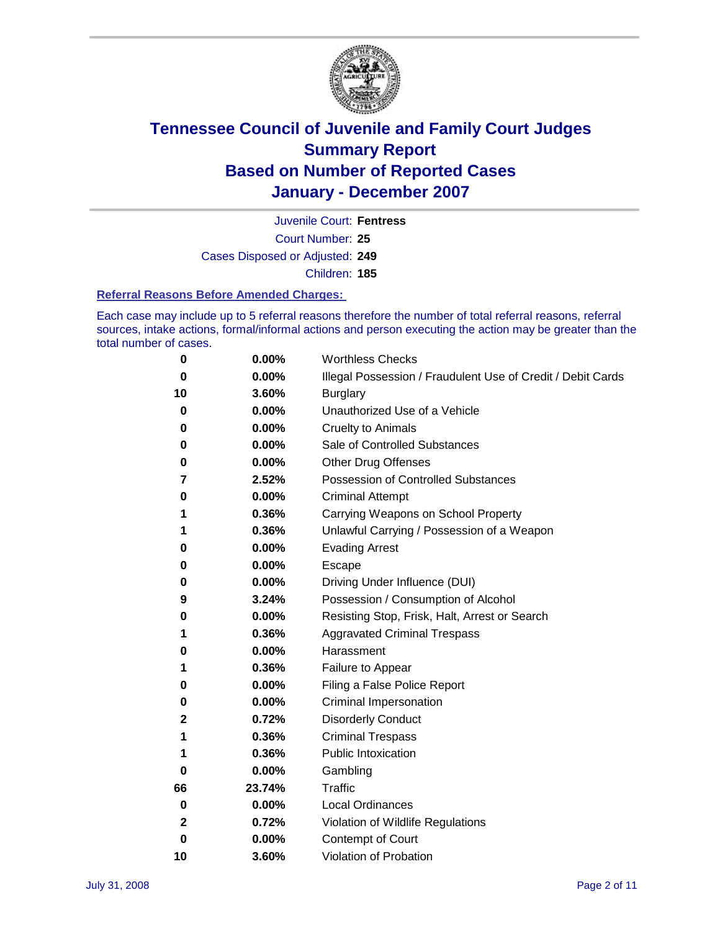

Court Number: **25** Juvenile Court: **Fentress** Cases Disposed or Adjusted: **249** Children: **185**

#### **Referral Reasons Before Amended Charges:**

Each case may include up to 5 referral reasons therefore the number of total referral reasons, referral sources, intake actions, formal/informal actions and person executing the action may be greater than the total number of cases.

| 0           | 0.00%    | <b>Worthless Checks</b>                                     |
|-------------|----------|-------------------------------------------------------------|
| 0           | 0.00%    | Illegal Possession / Fraudulent Use of Credit / Debit Cards |
| 10          | 3.60%    | <b>Burglary</b>                                             |
| 0           | $0.00\%$ | Unauthorized Use of a Vehicle                               |
| 0           | 0.00%    | <b>Cruelty to Animals</b>                                   |
| 0           | 0.00%    | Sale of Controlled Substances                               |
| 0           | 0.00%    | <b>Other Drug Offenses</b>                                  |
| 7           | 2.52%    | <b>Possession of Controlled Substances</b>                  |
| 0           | 0.00%    | <b>Criminal Attempt</b>                                     |
| 1           | 0.36%    | Carrying Weapons on School Property                         |
| 1           | 0.36%    | Unlawful Carrying / Possession of a Weapon                  |
| 0           | 0.00%    | <b>Evading Arrest</b>                                       |
| 0           | 0.00%    | Escape                                                      |
| 0           | 0.00%    | Driving Under Influence (DUI)                               |
| 9           | 3.24%    | Possession / Consumption of Alcohol                         |
| 0           | 0.00%    | Resisting Stop, Frisk, Halt, Arrest or Search               |
| 1           | 0.36%    | <b>Aggravated Criminal Trespass</b>                         |
| 0           | 0.00%    | Harassment                                                  |
| 1           | 0.36%    | Failure to Appear                                           |
| 0           | 0.00%    | Filing a False Police Report                                |
| 0           | 0.00%    | Criminal Impersonation                                      |
| 2           | 0.72%    | <b>Disorderly Conduct</b>                                   |
| 1           | 0.36%    | <b>Criminal Trespass</b>                                    |
| 1           | 0.36%    | <b>Public Intoxication</b>                                  |
| 0           | 0.00%    | Gambling                                                    |
| 66          | 23.74%   | <b>Traffic</b>                                              |
| 0           | $0.00\%$ | <b>Local Ordinances</b>                                     |
| 2           | 0.72%    | Violation of Wildlife Regulations                           |
| $\mathbf 0$ | $0.00\%$ | Contempt of Court                                           |
| 10          | 3.60%    | Violation of Probation                                      |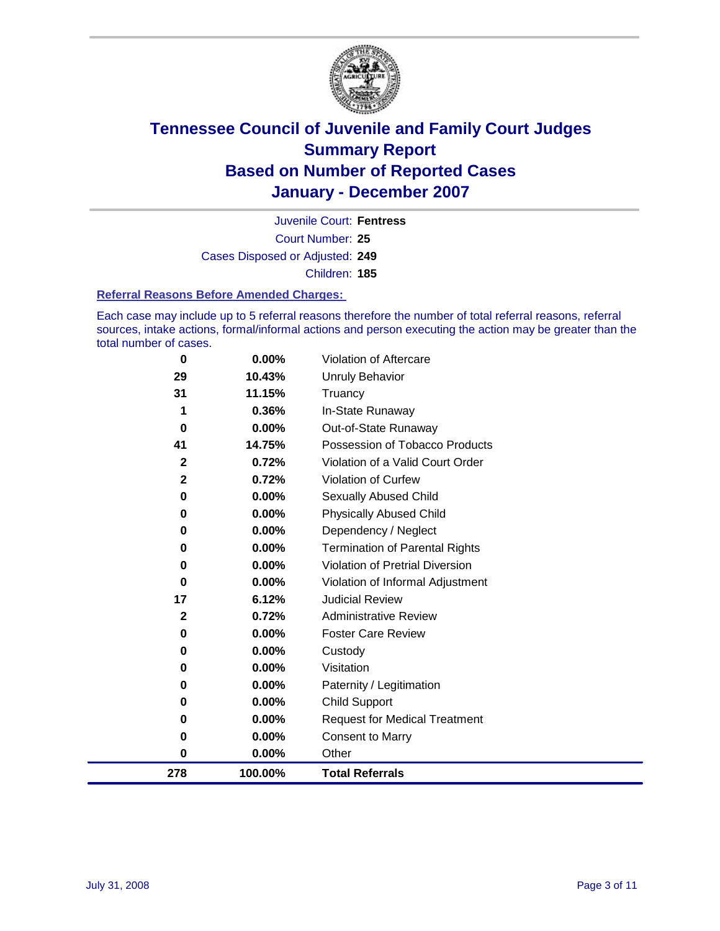

Court Number: **25** Juvenile Court: **Fentress** Cases Disposed or Adjusted: **249** Children: **185**

#### **Referral Reasons Before Amended Charges:**

Each case may include up to 5 referral reasons therefore the number of total referral reasons, referral sources, intake actions, formal/informal actions and person executing the action may be greater than the total number of cases.

| 278                     | 100.00% | <b>Total Referrals</b>                 |
|-------------------------|---------|----------------------------------------|
| 0                       | 0.00%   | Other                                  |
| 0                       | 0.00%   | <b>Consent to Marry</b>                |
| 0                       | 0.00%   | <b>Request for Medical Treatment</b>   |
| 0                       | 0.00%   | <b>Child Support</b>                   |
| 0                       | 0.00%   | Paternity / Legitimation               |
| 0                       | 0.00%   | Visitation                             |
| 0                       | 0.00%   | Custody                                |
| 0                       | 0.00%   | <b>Foster Care Review</b>              |
| $\mathbf 2$             | 0.72%   | <b>Administrative Review</b>           |
| 17                      | 6.12%   | <b>Judicial Review</b>                 |
| 0                       | 0.00%   | Violation of Informal Adjustment       |
| 0                       | 0.00%   | <b>Violation of Pretrial Diversion</b> |
| 0                       | 0.00%   | <b>Termination of Parental Rights</b>  |
| 0                       | 0.00%   | Dependency / Neglect                   |
| 0                       | 0.00%   | <b>Physically Abused Child</b>         |
| 0                       | 0.00%   | <b>Sexually Abused Child</b>           |
| $\overline{\mathbf{2}}$ | 0.72%   | Violation of Curfew                    |
| $\mathbf 2$             | 0.72%   | Violation of a Valid Court Order       |
| 41                      | 14.75%  | Possession of Tobacco Products         |
| 0                       | 0.00%   | Out-of-State Runaway                   |
| 1                       | 0.36%   | In-State Runaway                       |
| 31                      | 11.15%  | Truancy                                |
| 29                      | 10.43%  | <b>Unruly Behavior</b>                 |
| 0                       | 0.00%   | Violation of Aftercare                 |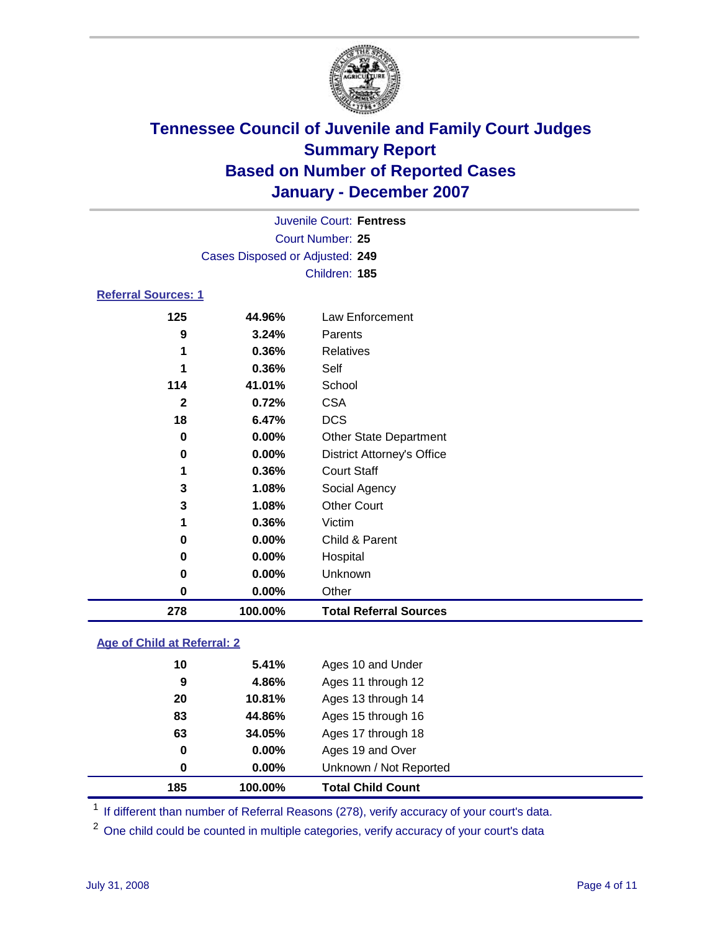

|                            |                                 | Juvenile Court: Fentress |  |
|----------------------------|---------------------------------|--------------------------|--|
|                            |                                 | Court Number: 25         |  |
|                            | Cases Disposed or Adjusted: 249 |                          |  |
|                            |                                 | Children: 185            |  |
| <b>Referral Sources: 1</b> |                                 |                          |  |
| 125                        | 44.96%                          | Law Enforcement          |  |
| 9                          | 3.24%                           | Parents                  |  |
| 1                          | 0.36%                           | Relatives                |  |
| 1                          | 0.36%                           | Self                     |  |
| 114                        | 41.01%                          | School                   |  |
| 2                          | 0.72%                           | <b>CSA</b>               |  |
| 18                         | 6.47%                           | <b>DCS</b>               |  |
| <u>n</u>                   | n ngal                          | Other Otats Denamins and |  |

| 278 | 100.00% | <b>Total Referral Sources</b>     |
|-----|---------|-----------------------------------|
| 0   | 0.00%   | Other                             |
| 0   | 0.00%   | Unknown                           |
| 0   | 0.00%   | Hospital                          |
| 0   | 0.00%   | Child & Parent                    |
| 1   | 0.36%   | Victim                            |
| 3   | 1.08%   | <b>Other Court</b>                |
| 3   | 1.08%   | Social Agency                     |
| 1   | 0.36%   | <b>Court Staff</b>                |
| 0   | 0.00%   | <b>District Attorney's Office</b> |
| 0   | 0.00%   | <b>Other State Department</b>     |
| 18  | 6.47%   | <b>DCS</b>                        |
| 2   | 0.72%   | <b>CSA</b>                        |
| 114 | 41.01%  | School                            |
| 1   | 0.36%   | Self                              |
| 1   | 0.36%   | Relatives                         |
| 9   | 3.24%   | Parents                           |
| 125 | 44.96%  | Law Enforcement                   |

### **Age of Child at Referral: 2**

| 185         | 100.00%  | <b>Total Child Count</b> |
|-------------|----------|--------------------------|
| $\bf{0}$    | $0.00\%$ | Unknown / Not Reported   |
| $\mathbf 0$ | 0.00%    | Ages 19 and Over         |
| 63          | 34.05%   | Ages 17 through 18       |
| 83          | 44.86%   | Ages 15 through 16       |
| 20          | 10.81%   | Ages 13 through 14       |
| 9           | 4.86%    | Ages 11 through 12       |
| 10          | 5.41%    | Ages 10 and Under        |
|             |          |                          |

<sup>1</sup> If different than number of Referral Reasons (278), verify accuracy of your court's data.

One child could be counted in multiple categories, verify accuracy of your court's data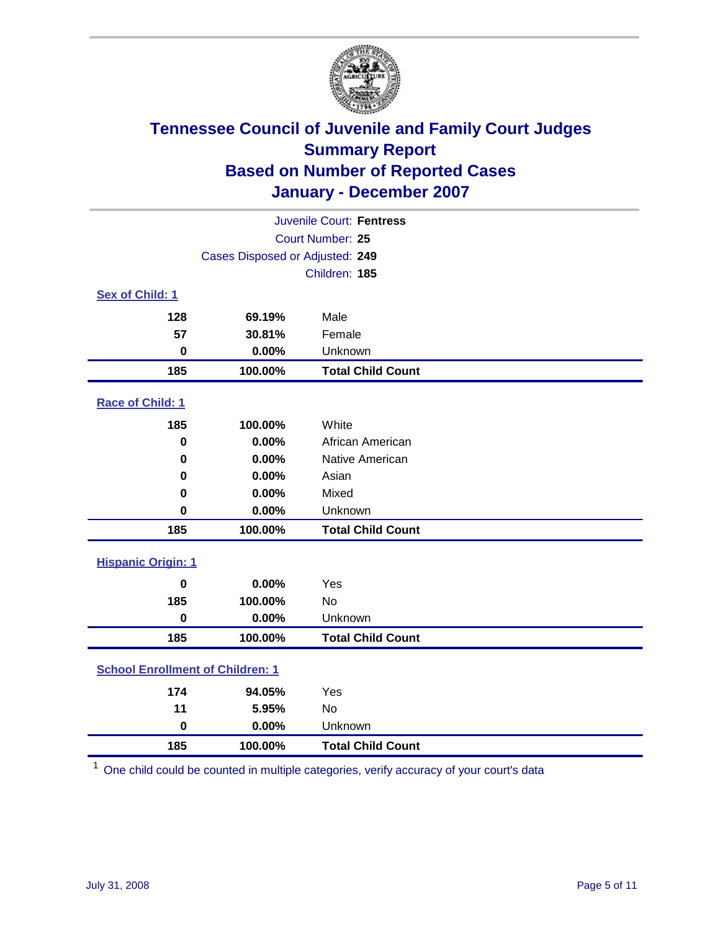

|                                         |                                 | Juvenile Court: Fentress |  |  |
|-----------------------------------------|---------------------------------|--------------------------|--|--|
| <b>Court Number: 25</b>                 |                                 |                          |  |  |
|                                         | Cases Disposed or Adjusted: 249 |                          |  |  |
|                                         |                                 | Children: 185            |  |  |
| Sex of Child: 1                         |                                 |                          |  |  |
| 128                                     | 69.19%                          | Male                     |  |  |
| 57                                      | 30.81%                          | Female                   |  |  |
| $\bf{0}$                                | 0.00%                           | Unknown                  |  |  |
| 185                                     | 100.00%                         | <b>Total Child Count</b> |  |  |
| <b>Race of Child: 1</b>                 |                                 |                          |  |  |
| 185                                     | 100.00%                         | White                    |  |  |
| $\bf{0}$                                | 0.00%                           | African American         |  |  |
| 0                                       | 0.00%                           | Native American          |  |  |
| 0                                       | 0.00%                           | Asian                    |  |  |
| 0                                       | 0.00%                           | Mixed                    |  |  |
| $\bf{0}$                                | 0.00%                           | Unknown                  |  |  |
| 185                                     | 100.00%                         | <b>Total Child Count</b> |  |  |
| <b>Hispanic Origin: 1</b>               |                                 |                          |  |  |
| $\mathbf 0$                             | 0.00%                           | Yes                      |  |  |
| 185                                     | 100.00%                         | <b>No</b>                |  |  |
| $\mathbf 0$                             | 0.00%                           | Unknown                  |  |  |
| 185                                     | 100.00%                         | <b>Total Child Count</b> |  |  |
| <b>School Enrollment of Children: 1</b> |                                 |                          |  |  |
| 174                                     | 94.05%                          | Yes                      |  |  |
| 11                                      | 5.95%                           | No                       |  |  |
| $\mathbf 0$                             | 0.00%                           | Unknown                  |  |  |
| 185                                     | 100.00%                         | <b>Total Child Count</b> |  |  |

One child could be counted in multiple categories, verify accuracy of your court's data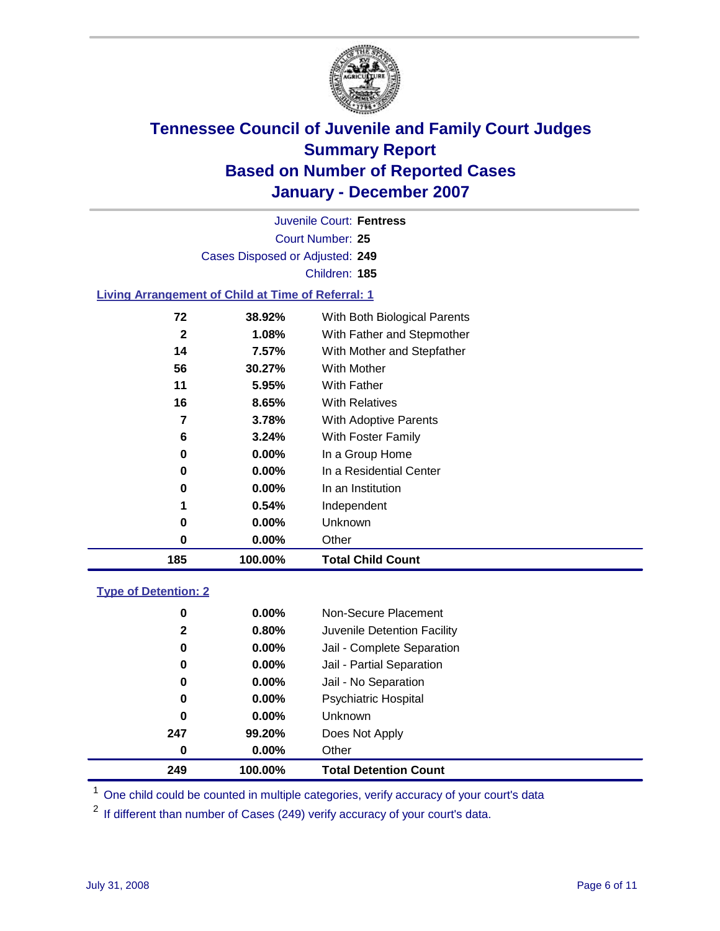

Court Number: **25** Juvenile Court: **Fentress** Cases Disposed or Adjusted: **249** Children: **185**

#### **Living Arrangement of Child at Time of Referral: 1**

| 185 | 100.00%  | <b>Total Child Count</b>     |
|-----|----------|------------------------------|
| 0   | 0.00%    | Other                        |
| 0   | 0.00%    | Unknown                      |
| 1   | 0.54%    | Independent                  |
| 0   | 0.00%    | In an Institution            |
| 0   | $0.00\%$ | In a Residential Center      |
| 0   | 0.00%    | In a Group Home              |
| 6   | 3.24%    | With Foster Family           |
| 7   | 3.78%    | With Adoptive Parents        |
| 16  | 8.65%    | <b>With Relatives</b>        |
| 11  | 5.95%    | <b>With Father</b>           |
| 56  | 30.27%   | With Mother                  |
| 14  | 7.57%    | With Mother and Stepfather   |
| 2   | 1.08%    | With Father and Stepmother   |
| 72  | 38.92%   | With Both Biological Parents |
|     |          |                              |

#### **Type of Detention: 2**

| 249 | 100.00%  | <b>Total Detention Count</b> |
|-----|----------|------------------------------|
| 0   | $0.00\%$ | Other                        |
| 247 | 99.20%   | Does Not Apply               |
| 0   | 0.00%    | <b>Unknown</b>               |
| 0   | $0.00\%$ | <b>Psychiatric Hospital</b>  |
| 0   | 0.00%    | Jail - No Separation         |
| 0   | $0.00\%$ | Jail - Partial Separation    |
| 0   | $0.00\%$ | Jail - Complete Separation   |
| 2   | 0.80%    | Juvenile Detention Facility  |
| 0   | $0.00\%$ | Non-Secure Placement         |
|     |          |                              |

<sup>1</sup> One child could be counted in multiple categories, verify accuracy of your court's data

<sup>2</sup> If different than number of Cases (249) verify accuracy of your court's data.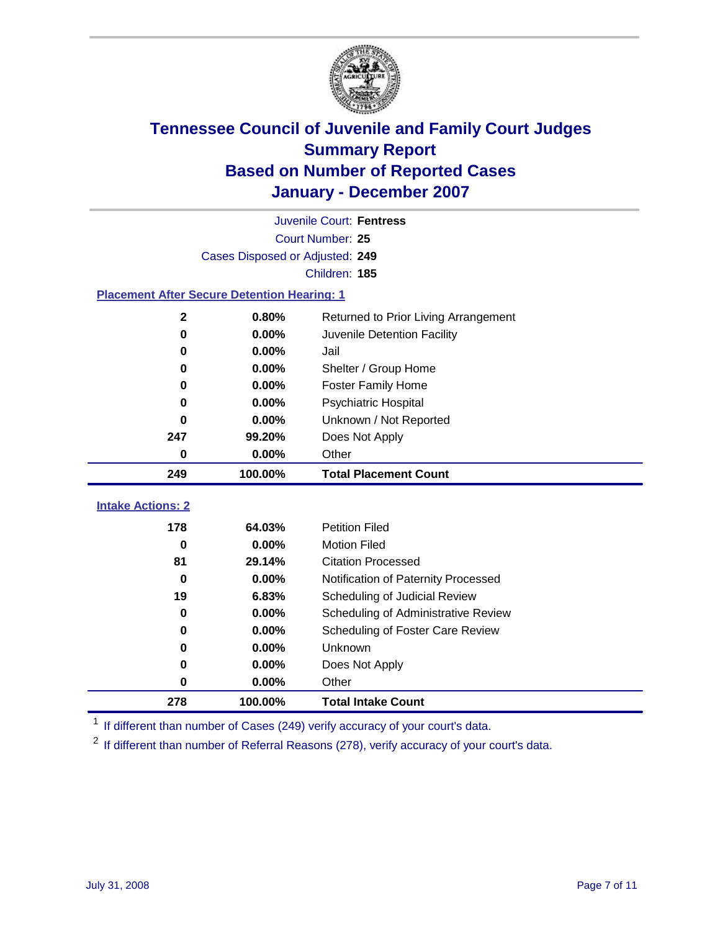

|                                                    | Juvenile Court: Fentress        |                                      |  |  |  |  |
|----------------------------------------------------|---------------------------------|--------------------------------------|--|--|--|--|
| Court Number: 25                                   |                                 |                                      |  |  |  |  |
|                                                    | Cases Disposed or Adjusted: 249 |                                      |  |  |  |  |
|                                                    | Children: 185                   |                                      |  |  |  |  |
| <b>Placement After Secure Detention Hearing: 1</b> |                                 |                                      |  |  |  |  |
| $\mathbf 2$                                        | 0.80%                           | Returned to Prior Living Arrangement |  |  |  |  |
| 0                                                  | 0.00%                           | Juvenile Detention Facility          |  |  |  |  |
| 0                                                  | 0.00%                           | Jail                                 |  |  |  |  |
| 0                                                  | 0.00%                           | Shelter / Group Home                 |  |  |  |  |
| 0                                                  | 0.00%                           | <b>Foster Family Home</b>            |  |  |  |  |
| 0                                                  | 0.00%                           | Psychiatric Hospital                 |  |  |  |  |
| 0                                                  | 0.00%                           | Unknown / Not Reported               |  |  |  |  |
| 247                                                | 99.20%                          | Does Not Apply                       |  |  |  |  |
| 0                                                  | 0.00%                           | Other                                |  |  |  |  |
| 249                                                | 100.00%                         | <b>Total Placement Count</b>         |  |  |  |  |
|                                                    |                                 |                                      |  |  |  |  |
| <b>Intake Actions: 2</b>                           |                                 |                                      |  |  |  |  |
| 178                                                | 64.03%                          | <b>Petition Filed</b>                |  |  |  |  |
| 0                                                  | 0.00%                           | <b>Motion Filed</b>                  |  |  |  |  |
| 81                                                 | 29.14%                          | <b>Citation Processed</b>            |  |  |  |  |
| $\bf{0}$                                           | 0.00%                           | Notification of Paternity Processed  |  |  |  |  |
| 19                                                 | 6.83%                           | Scheduling of Judicial Review        |  |  |  |  |
| 0                                                  | 0.00%                           | Scheduling of Administrative Review  |  |  |  |  |
| 0                                                  | 0.00%                           | Scheduling of Foster Care Review     |  |  |  |  |
| 0                                                  | 0.00%                           | Unknown                              |  |  |  |  |
| 0                                                  |                                 |                                      |  |  |  |  |
|                                                    | 0.00%                           | Does Not Apply                       |  |  |  |  |
| 0                                                  | 0.00%                           | Other                                |  |  |  |  |

<sup>1</sup> If different than number of Cases (249) verify accuracy of your court's data.

<sup>2</sup> If different than number of Referral Reasons (278), verify accuracy of your court's data.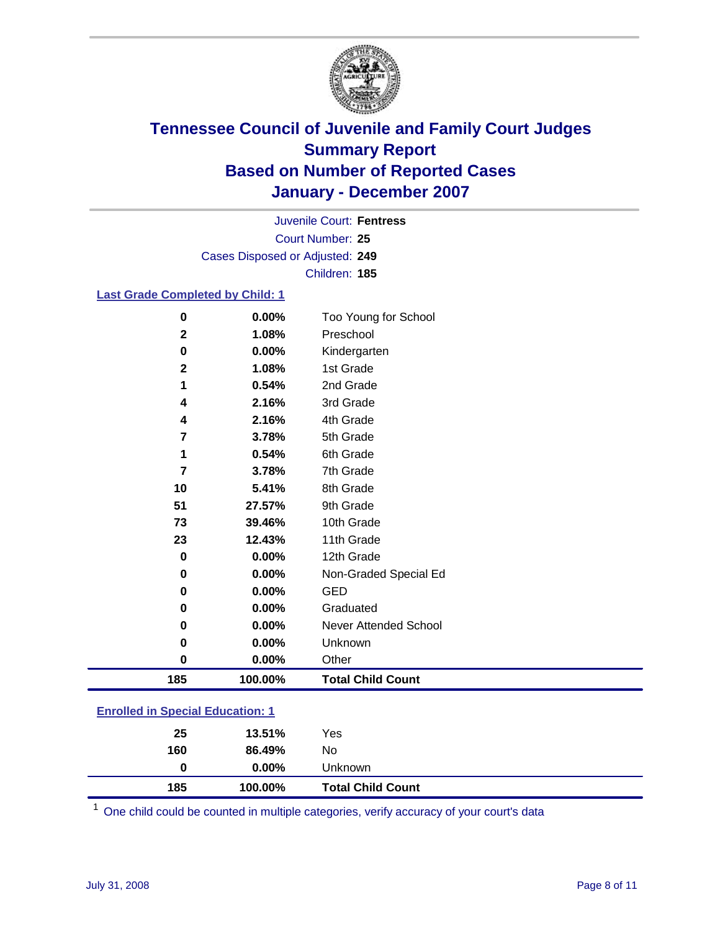

Court Number: **25** Juvenile Court: **Fentress** Cases Disposed or Adjusted: **249** Children: **185**

#### **Last Grade Completed by Child: 1**

| 185          | 100.00% | <b>Total Child Count</b> |
|--------------|---------|--------------------------|
| 0            | 0.00%   | Other                    |
| 0            | 0.00%   | Unknown                  |
| $\bf{0}$     | 0.00%   | Never Attended School    |
| 0            | 0.00%   | Graduated                |
| 0            | 0.00%   | <b>GED</b>               |
| $\bf{0}$     | 0.00%   | Non-Graded Special Ed    |
| $\bf{0}$     | 0.00%   | 12th Grade               |
| 23           | 12.43%  | 11th Grade               |
| 73           | 39.46%  | 10th Grade               |
| 51           | 27.57%  | 9th Grade                |
| 10           | 5.41%   | 8th Grade                |
| 7            | 3.78%   | 7th Grade                |
| 1            | 0.54%   | 6th Grade                |
| 7            | 3.78%   | 5th Grade                |
| 4            | 2.16%   | 4th Grade                |
| 4            | 2.16%   | 3rd Grade                |
| 1            | 0.54%   | 2nd Grade                |
| $\mathbf{2}$ | 1.08%   | 1st Grade                |
| 0            | 0.00%   | Kindergarten             |
| $\mathbf 2$  | 1.08%   | Preschool                |
| 0            | 0.00%   | Too Young for School     |

### **Enrolled in Special Education: 1**

| 0<br>185 | $0.00\%$<br>100.00% | <b>Unknown</b><br><b>Total Child Count</b> |  |
|----------|---------------------|--------------------------------------------|--|
| 160      | 86.49%              | No                                         |  |
| 25       | 13.51%              | Yes                                        |  |

<sup>1</sup> One child could be counted in multiple categories, verify accuracy of your court's data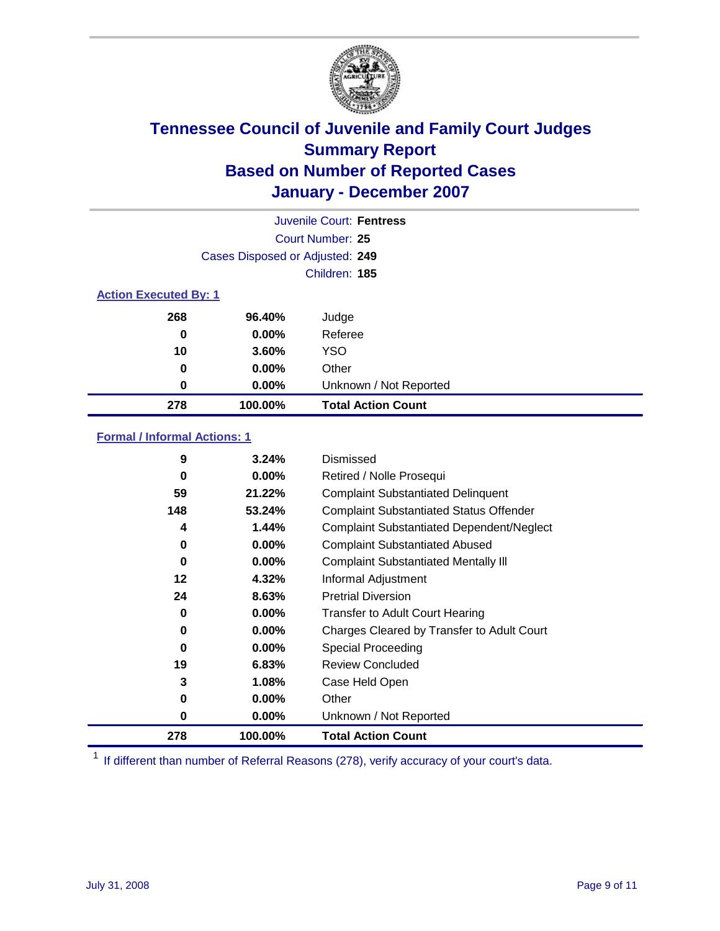

|                              |                                 | Juvenile Court: Fentress  |
|------------------------------|---------------------------------|---------------------------|
|                              |                                 | Court Number: 25          |
|                              | Cases Disposed or Adjusted: 249 |                           |
|                              |                                 | Children: 185             |
| <b>Action Executed By: 1</b> |                                 |                           |
| 268                          | 96.40%                          | Judge                     |
| 0                            | $0.00\%$                        | Referee                   |
| 10                           | 3.60%                           | <b>YSO</b>                |
| 0                            | $0.00\%$                        | Other                     |
| 0                            | $0.00\%$                        | Unknown / Not Reported    |
| 278                          | 100.00%                         | <b>Total Action Count</b> |

### **Formal / Informal Actions: 1**

| 9   | 3.24%    | Dismissed                                        |
|-----|----------|--------------------------------------------------|
| 0   | $0.00\%$ | Retired / Nolle Prosequi                         |
| 59  | 21.22%   | <b>Complaint Substantiated Delinquent</b>        |
| 148 | 53.24%   | <b>Complaint Substantiated Status Offender</b>   |
| 4   | 1.44%    | <b>Complaint Substantiated Dependent/Neglect</b> |
| 0   | 0.00%    | <b>Complaint Substantiated Abused</b>            |
| 0   | $0.00\%$ | <b>Complaint Substantiated Mentally III</b>      |
| 12  | 4.32%    | Informal Adjustment                              |
| 24  | 8.63%    | <b>Pretrial Diversion</b>                        |
| 0   | $0.00\%$ | <b>Transfer to Adult Court Hearing</b>           |
| 0   | $0.00\%$ | Charges Cleared by Transfer to Adult Court       |
| 0   | $0.00\%$ | Special Proceeding                               |
| 19  | 6.83%    | <b>Review Concluded</b>                          |
| 3   | 1.08%    | Case Held Open                                   |
| 0   | $0.00\%$ | Other                                            |
| 0   | $0.00\%$ | Unknown / Not Reported                           |
| 278 | 100.00%  | <b>Total Action Count</b>                        |

<sup>1</sup> If different than number of Referral Reasons (278), verify accuracy of your court's data.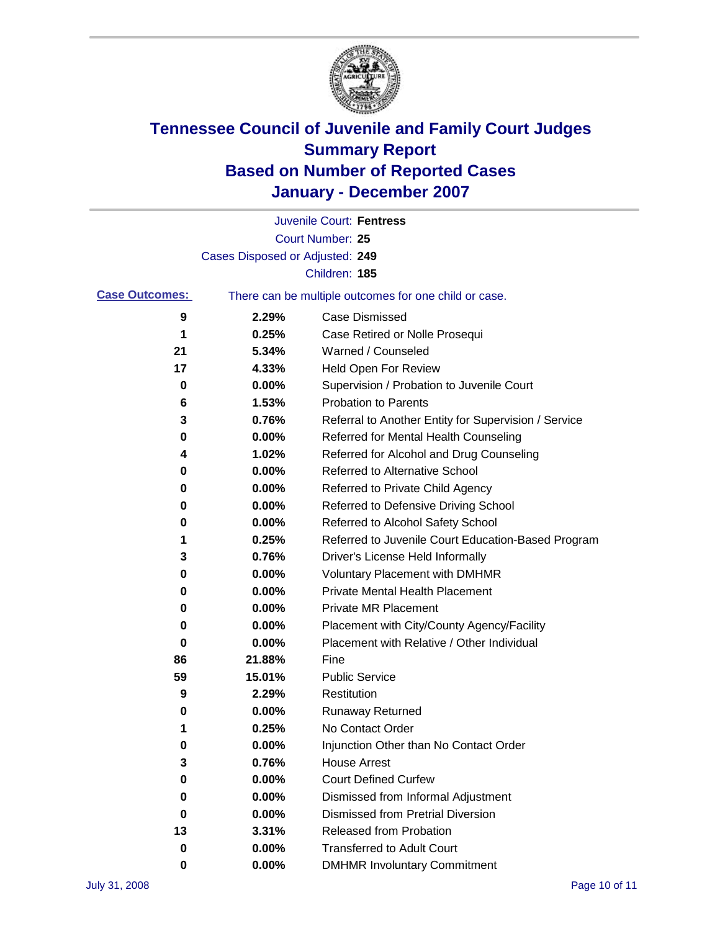

|                       |                                 | Juvenile Court: Fentress                              |
|-----------------------|---------------------------------|-------------------------------------------------------|
|                       |                                 | <b>Court Number: 25</b>                               |
|                       | Cases Disposed or Adjusted: 249 |                                                       |
|                       |                                 | Children: 185                                         |
| <b>Case Outcomes:</b> |                                 | There can be multiple outcomes for one child or case. |
| 9                     | 2.29%                           | <b>Case Dismissed</b>                                 |
| 1                     | 0.25%                           | Case Retired or Nolle Prosequi                        |
| 21                    | 5.34%                           | Warned / Counseled                                    |
| 17                    | 4.33%                           | Held Open For Review                                  |
| 0                     | 0.00%                           | Supervision / Probation to Juvenile Court             |
| 6                     | 1.53%                           | <b>Probation to Parents</b>                           |
| 3                     | 0.76%                           | Referral to Another Entity for Supervision / Service  |
| 0                     | 0.00%                           | Referred for Mental Health Counseling                 |
| 4                     | 1.02%                           | Referred for Alcohol and Drug Counseling              |
| 0                     | 0.00%                           | <b>Referred to Alternative School</b>                 |
| 0                     | 0.00%                           | Referred to Private Child Agency                      |
| 0                     | 0.00%                           | Referred to Defensive Driving School                  |
| 0                     | 0.00%                           | Referred to Alcohol Safety School                     |
| 1                     | 0.25%                           | Referred to Juvenile Court Education-Based Program    |
| 3                     | 0.76%                           | Driver's License Held Informally                      |
| 0                     | 0.00%                           | <b>Voluntary Placement with DMHMR</b>                 |
| 0                     | 0.00%                           | <b>Private Mental Health Placement</b>                |
| 0                     | 0.00%                           | <b>Private MR Placement</b>                           |
| 0                     | 0.00%                           | Placement with City/County Agency/Facility            |
| 0                     | 0.00%                           | Placement with Relative / Other Individual            |
| 86                    | 21.88%                          | Fine                                                  |
| 59                    | 15.01%                          | <b>Public Service</b>                                 |
| 9                     | 2.29%                           | Restitution                                           |
| 0                     | 0.00%                           | <b>Runaway Returned</b>                               |
| 1                     | 0.25%                           | No Contact Order                                      |
| 0                     | 0.00%                           | Injunction Other than No Contact Order                |
| 3                     | 0.76%                           | <b>House Arrest</b>                                   |
| 0                     | 0.00%                           | <b>Court Defined Curfew</b>                           |
| 0                     | 0.00%                           | Dismissed from Informal Adjustment                    |
| 0                     | 0.00%                           | <b>Dismissed from Pretrial Diversion</b>              |
| 13                    | 3.31%                           | Released from Probation                               |
| 0                     | 0.00%                           | <b>Transferred to Adult Court</b>                     |
| 0                     | $0.00\%$                        | <b>DMHMR Involuntary Commitment</b>                   |